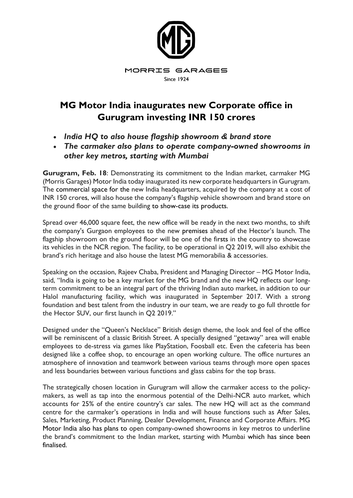

## **MG Motor India inaugurates new Corporate office in Gurugram investing INR 150 crores**

- *India HQ to also house flagship showroom & brand store*
- *The carmaker also plans to operate company-owned showrooms in other key metros, starting with Mumbai*

**Gurugram, Feb. 18**: Demonstrating its commitment to the Indian market, carmaker MG (Morris Garages) Motor India today inaugurated its new corporate headquarters in Gurugram. The commercial space for the new India headquarters, acquired by the company at a cost of INR 150 crores, will also house the company's flagship vehicle showroom and brand store on the ground floor of the same building to show-case its products.

Spread over 46,000 square feet, the new office will be ready in the next two months, to shift the company's Gurgaon employees to the new premises ahead of the Hector's launch. The flagship showroom on the ground floor will be one of the firsts in the country to showcase its vehicles in the NCR region. The facility, to be operational in Q2 2019, will also exhibit the brand's rich heritage and also house the latest MG memorabilia & accessories.

Speaking on the occasion, Rajeev Chaba, President and Managing Director – MG Motor India, said, "India is going to be a key market for the MG brand and the new HQ reflects our longterm commitment to be an integral part of the thriving Indian auto market, in addition to our Halol manufacturing facility, which was inaugurated in September 2017. With a strong foundation and best talent from the industry in our team, we are ready to go full throttle for the Hector SUV, our first launch in Q2 2019."

Designed under the "Queen's Necklace" British design theme, the look and feel of the office will be reminiscent of a classic British Street. A specially designed "getaway" area will enable employees to de-stress via games like PlayStation, Foosball etc. Even the cafeteria has been designed like a coffee shop, to encourage an open working culture. The office nurtures an atmosphere of innovation and teamwork between various teams through more open spaces and less boundaries between various functions and glass cabins for the top brass.

The strategically chosen location in Gurugram will allow the carmaker access to the policymakers, as well as tap into the enormous potential of the Delhi-NCR auto market, which accounts for 25% of the entire country's car sales. The new HQ will act as the command centre for the carmaker's operations in India and will house functions such as After Sales, Sales, Marketing, Product Planning, Dealer Development, Finance and Corporate Affairs. MG Motor India also has plans to open company-owned showrooms in key metros to underline the brand's commitment to the Indian market, starting with Mumbai which has since been finalised.